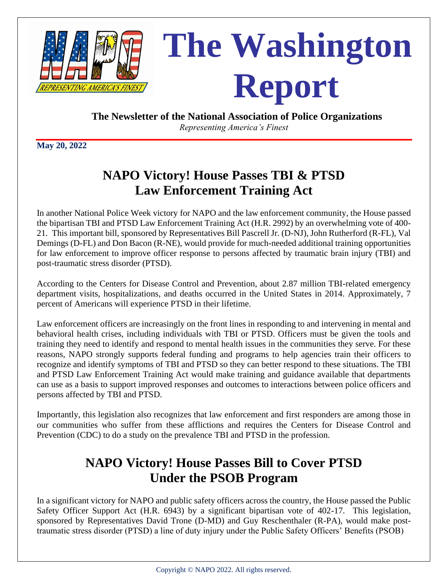

**The Newsletter of the National Association of Police Organizations**

 *Representing America's Finest*

**May 20, 2022**

# **NAPO Victory! House Passes TBI & PTSD Law Enforcement Training Act**

In another National Police Week victory for NAPO and the law enforcement community, the House passed the bipartisan TBI and PTSD Law Enforcement Training Act (H.R. 2992) by an overwhelming vote of 400- 21. This important bill, sponsored by Representatives Bill Pascrell Jr. (D-NJ), John Rutherford (R-FL), Val Demings (D-FL) and Don Bacon (R-NE), would provide for much-needed additional training opportunities for law enforcement to improve officer response to persons affected by traumatic brain injury (TBI) and post-traumatic stress disorder (PTSD).

According to the Centers for Disease Control and Prevention, about 2.87 million TBI-related emergency department visits, hospitalizations, and deaths occurred in the United States in 2014. Approximately, 7 percent of Americans will experience PTSD in their lifetime.

Law enforcement officers are increasingly on the front lines in responding to and intervening in mental and behavioral health crises, including individuals with TBI or PTSD. Officers must be given the tools and training they need to identify and respond to mental health issues in the communities they serve. For these reasons, NAPO strongly supports federal funding and programs to help agencies train their officers to recognize and identify symptoms of TBI and PTSD so they can better respond to these situations. The TBI and PTSD Law Enforcement Training Act would make training and guidance available that departments can use as a basis to support improved responses and outcomes to interactions between police officers and persons affected by TBI and PTSD.

Importantly, this legislation also recognizes that law enforcement and first responders are among those in our communities who suffer from these afflictions and requires the Centers for Disease Control and Prevention (CDC) to do a study on the prevalence TBI and PTSD in the profession.

## **NAPO Victory! House Passes Bill to Cover PTSD Under the PSOB Program**

In a significant victory for NAPO and public safety officers across the country, the House passed the Public Safety Officer Support Act (H.R. 6943) by a significant bipartisan vote of 402-17. This legislation, sponsored by Representatives David Trone (D-MD) and Guy Reschenthaler (R-PA), would make posttraumatic stress disorder (PTSD) a line of duty injury under the Public Safety Officers' Benefits (PSOB)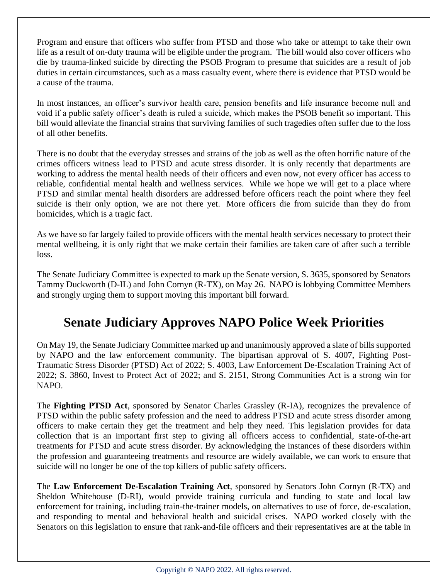Program and ensure that officers who suffer from PTSD and those who take or attempt to take their own life as a result of on-duty trauma will be eligible under the program. The bill would also cover officers who die by trauma-linked suicide by directing the PSOB Program to presume that suicides are a result of job duties in certain circumstances, such as a mass casualty event, where there is evidence that PTSD would be a cause of the trauma.

In most instances, an officer's survivor health care, pension benefits and life insurance become null and void if a public safety officer's death is ruled a suicide, which makes the PSOB benefit so important. This bill would alleviate the financial strains that surviving families of such tragedies often suffer due to the loss of all other benefits.

There is no doubt that the everyday stresses and strains of the job as well as the often horrific nature of the crimes officers witness lead to PTSD and acute stress disorder. It is only recently that departments are working to address the mental health needs of their officers and even now, not every officer has access to reliable, confidential mental health and wellness services. While we hope we will get to a place where PTSD and similar mental health disorders are addressed before officers reach the point where they feel suicide is their only option, we are not there yet. More officers die from suicide than they do from homicides, which is a tragic fact.

As we have so far largely failed to provide officers with the mental health services necessary to protect their mental wellbeing, it is only right that we make certain their families are taken care of after such a terrible loss.

The Senate Judiciary Committee is expected to mark up the Senate version, S. 3635, sponsored by Senators Tammy Duckworth (D-IL) and John Cornyn (R-TX), on May 26. NAPO is lobbying Committee Members and strongly urging them to support moving this important bill forward.

## **Senate Judiciary Approves NAPO Police Week Priorities**

On May 19, the Senate Judiciary Committee marked up and unanimously approved a slate of bills supported by NAPO and the law enforcement community. The bipartisan approval of S. 4007, Fighting Post-Traumatic Stress Disorder (PTSD) Act of 2022; S. 4003, Law Enforcement De-Escalation Training Act of 2022; S. 3860, Invest to Protect Act of 2022; and S. 2151, Strong Communities Act is a strong win for NAPO.

The **Fighting PTSD Act**, sponsored by Senator Charles Grassley (R-IA), recognizes the prevalence of PTSD within the public safety profession and the need to address PTSD and acute stress disorder among officers to make certain they get the treatment and help they need. This legislation provides for data collection that is an important first step to giving all officers access to confidential, state-of-the-art treatments for PTSD and acute stress disorder. By acknowledging the instances of these disorders within the profession and guaranteeing treatments and resource are widely available, we can work to ensure that suicide will no longer be one of the top killers of public safety officers.

The **Law Enforcement De-Escalation Training Act**, sponsored by Senators John Cornyn (R-TX) and Sheldon Whitehouse (D-RI), would provide training curricula and funding to state and local law enforcement for training, including train-the-trainer models, on alternatives to use of force, de-escalation, and responding to mental and behavioral health and suicidal crises. NAPO worked closely with the Senators on this legislation to ensure that rank-and-file officers and their representatives are at the table in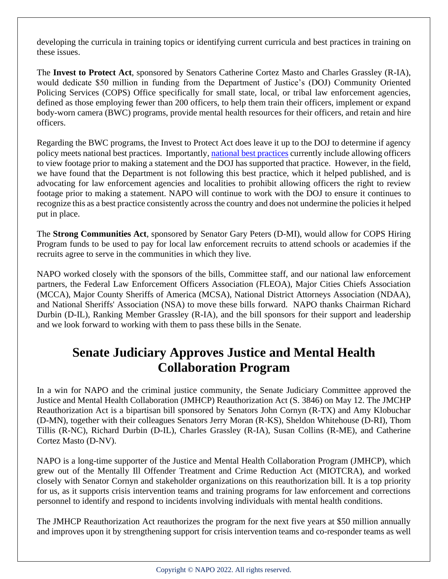developing the curricula in training topics or identifying current curricula and best practices in training on these issues.

The **Invest to Protect Act**, sponsored by Senators Catherine Cortez Masto and Charles Grassley (R-IA), would dedicate \$50 million in funding from the Department of Justice's (DOJ) Community Oriented Policing Services (COPS) Office specifically for small state, local, or tribal law enforcement agencies, defined as those employing fewer than 200 officers, to help them train their officers, implement or expand body-worn camera (BWC) programs, provide mental health resources for their officers, and retain and hire officers.

Regarding the BWC programs, the Invest to Protect Act does leave it up to the DOJ to determine if agency policy meets national best practices. Importantly, [national best practices](https://www.justice.gov/iso/opa/resources/472014912134715246869.pdf) currently include allowing officers to view footage prior to making a statement and the DOJ has supported that practice. However, in the field, we have found that the Department is not following this best practice, which it helped published, and is advocating for law enforcement agencies and localities to prohibit allowing officers the right to review footage prior to making a statement. NAPO will continue to work with the DOJ to ensure it continues to recognize this as a best practice consistently across the country and does not undermine the policiesit helped put in place.

The **Strong Communities Act**, sponsored by Senator Gary Peters (D-MI), would allow for COPS Hiring Program funds to be used to pay for local law enforcement recruits to attend schools or academies if the recruits agree to serve in the communities in which they live.

NAPO worked closely with the sponsors of the bills, Committee staff, and our national law enforcement partners, the Federal Law Enforcement Officers Association (FLEOA), Major Cities Chiefs Association (MCCA), Major County Sheriffs of America (MCSA), National District Attorneys Association (NDAA), and National Sheriffs' Association (NSA) to move these bills forward. NAPO thanks Chairman Richard Durbin (D-IL), Ranking Member Grassley (R-IA), and the bill sponsors for their support and leadership and we look forward to working with them to pass these bills in the Senate.

#### **Senate Judiciary Approves Justice and Mental Health Collaboration Program**

In a win for NAPO and the criminal justice community, the Senate Judiciary Committee approved the Justice and Mental Health Collaboration (JMHCP) Reauthorization Act (S. 3846) on May 12. The JMCHP Reauthorization Act is a bipartisan bill sponsored by Senators John Cornyn (R-TX) and Amy Klobuchar (D-MN), together with their colleagues Senators Jerry Moran (R-KS), Sheldon Whitehouse (D-RI), Thom Tillis (R-NC), Richard Durbin (D-IL), Charles Grassley (R-IA), Susan Collins (R-ME), and Catherine Cortez Masto (D-NV).

NAPO is a long-time supporter of the Justice and Mental Health Collaboration Program (JMHCP), which grew out of the Mentally Ill Offender Treatment and Crime Reduction Act (MIOTCRA), and worked closely with Senator Cornyn and stakeholder organizations on this reauthorization bill. It is a top priority for us, as it supports crisis intervention teams and training programs for law enforcement and corrections personnel to identify and respond to incidents involving individuals with mental health conditions.

The JMHCP Reauthorization Act reauthorizes the program for the next five years at \$50 million annually and improves upon it by strengthening support for crisis intervention teams and co-responder teams as well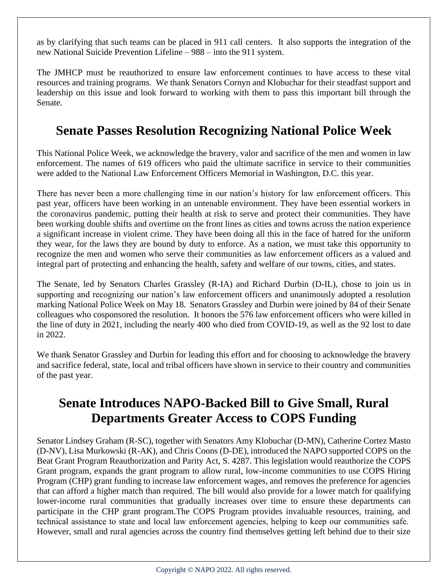as by clarifying that such teams can be placed in 911 call centers. It also supports the integration of the new National Suicide Prevention Lifeline – 988 – into the 911 system.

The JMHCP must be reauthorized to ensure law enforcement continues to have access to these vital resources and training programs. We thank Senators Cornyn and Klobuchar for their steadfast support and leadership on this issue and look forward to working with them to pass this important bill through the Senate.

## **Senate Passes Resolution Recognizing National Police Week**

This National Police Week, we acknowledge the bravery, valor and sacrifice of the men and women in law enforcement. The names of 619 officers who paid the ultimate sacrifice in service to their communities were added to the National Law Enforcement Officers Memorial in Washington, D.C. this year.

There has never been a more challenging time in our nation's history for law enforcement officers. This past year, officers have been working in an untenable environment. They have been essential workers in the coronavirus pandemic, putting their health at risk to serve and protect their communities. They have been working double shifts and overtime on the front lines as cities and towns across the nation experience a significant increase in violent crime. They have been doing all this in the face of hatred for the uniform they wear, for the laws they are bound by duty to enforce. As a nation, we must take this opportunity to recognize the men and women who serve their communities as law enforcement officers as a valued and integral part of protecting and enhancing the health, safety and welfare of our towns, cities, and states.

The Senate, led by Senators Charles Grassley (R-IA) and Richard Durbin (D-IL), chose to join us in supporting and recognizing our nation's law enforcement officers and unanimously adopted a resolution marking National Police Week on May 18. Senators Grassley and Durbin were joined by 84 of their Senate colleagues who cosponsored the resolution. It honors the 576 law enforcement officers who were killed in the line of duty in 2021, including the nearly 400 who died from COVID-19, as well as the 92 lost to date in 2022.

We thank Senator Grassley and Durbin for leading this effort and for choosing to acknowledge the bravery and sacrifice federal, state, local and tribal officers have shown in service to their country and communities of the past year.

## **Senate Introduces NAPO-Backed Bill to Give Small, Rural Departments Greater Access to COPS Funding**

Senator Lindsey Graham (R-SC), together with Senators Amy Klobuchar (D-MN), Catherine Cortez Masto (D-NV), Lisa Murkowski (R-AK), and Chris Coons (D-DE), introduced the NAPO supported COPS on the Beat Grant Program Reauthorization and Parity Act, S. 4287. This legislation would reauthorize the COPS Grant program, expands the grant program to allow rural, low-income communities to use COPS Hiring Program (CHP) grant funding to increase law enforcement wages, and removes the preference for agencies that can afford a higher match than required. The bill would also provide for a lower match for qualifying lower-income rural communities that gradually increases over time to ensure these departments can participate in the CHP grant program.The COPS Program provides invaluable resources, training, and technical assistance to state and local law enforcement agencies, helping to keep our communities safe.  However, small and rural agencies across the country find themselves getting left behind due to their size